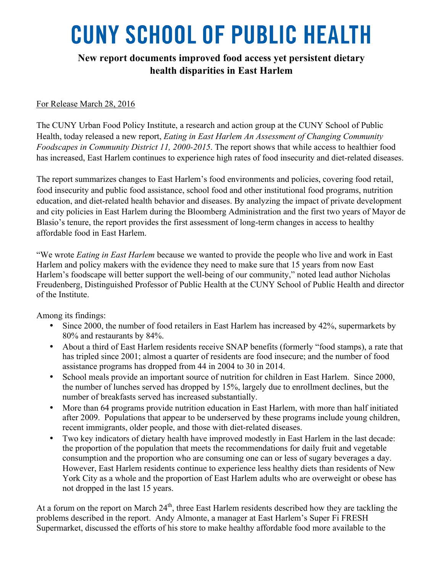## **CUNY SCHOOL OF PUBLIC HEALTH**

## **New report documents improved food access yet persistent dietary health disparities in East Harlem**

## For Release March 28, 2016

The CUNY Urban Food Policy Institute, a research and action group at the CUNY School of Public Health, today released a new report, *Eating in East Harlem An Assessment of Changing Community Foodscapes in Community District 11, 2000-2015*. The report shows that while access to healthier food has increased, East Harlem continues to experience high rates of food insecurity and diet-related diseases.

The report summarizes changes to East Harlem's food environments and policies, covering food retail, food insecurity and public food assistance, school food and other institutional food programs, nutrition education, and diet-related health behavior and diseases. By analyzing the impact of private development and city policies in East Harlem during the Bloomberg Administration and the first two years of Mayor de Blasio's tenure, the report provides the first assessment of long-term changes in access to healthy affordable food in East Harlem.

"We wrote *Eating in East Harlem* because we wanted to provide the people who live and work in East Harlem and policy makers with the evidence they need to make sure that 15 years from now East Harlem's foodscape will better support the well-being of our community," noted lead author Nicholas Freudenberg, Distinguished Professor of Public Health at the CUNY School of Public Health and director of the Institute.

Among its findings:

- Since 2000, the number of food retailers in East Harlem has increased by 42%, supermarkets by 80% and restaurants by 84%.
- About a third of East Harlem residents receive SNAP benefits (formerly "food stamps), a rate that has tripled since 2001; almost a quarter of residents are food insecure; and the number of food assistance programs has dropped from 44 in 2004 to 30 in 2014.
- School meals provide an important source of nutrition for children in East Harlem. Since 2000, the number of lunches served has dropped by 15%, largely due to enrollment declines, but the number of breakfasts served has increased substantially.
- More than 64 programs provide nutrition education in East Harlem, with more than half initiated after 2009. Populations that appear to be underserved by these programs include young children, recent immigrants, older people, and those with diet-related diseases.
- Two key indicators of dietary health have improved modestly in East Harlem in the last decade: the proportion of the population that meets the recommendations for daily fruit and vegetable consumption and the proportion who are consuming one can or less of sugary beverages a day. However, East Harlem residents continue to experience less healthy diets than residents of New York City as a whole and the proportion of East Harlem adults who are overweight or obese has not dropped in the last 15 years.

At a forum on the report on March  $24<sup>th</sup>$ , three East Harlem residents described how they are tackling the problems described in the report. Andy Almonte, a manager at East Harlem's Super Fi FRESH Supermarket, discussed the efforts of his store to make healthy affordable food more available to the